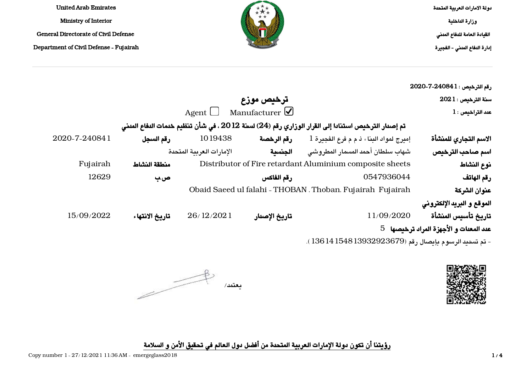دولة الامارات العربية المتحدة وزارة الداخلية القيادة العامة للدفاع المدني إدارة الدفاع المدني - الفجيرة



United Arab Emirates Ministry of Interior General Directorate of Civil Defense

Department of Civil Defense - Fujairah

| رقم الترخيص : 1 24084-7-2020           |                                                                                                   |                                  |                          |                |               |
|----------------------------------------|---------------------------------------------------------------------------------------------------|----------------------------------|--------------------------|----------------|---------------|
| $2021:$ سنة الترخيص                    |                                                                                                   | ترخيص موزع                       |                          |                |               |
| $1$ عدد التراخيص:                      |                                                                                                   | Agent $\Box$ Manufacturer $\Box$ |                          |                |               |
|                                        | تم إصدار الترخيص استنادا إلى القرار الوزاري رقم (24) لسنة 2012 ، في شأن تنظيم خدمات الدفاع المدنى |                                  |                          |                |               |
| الاسم التجاري للمنشأة                  | إميرج لمواد البناء ذ م م فرع الفجيرة 1                                                            | رقم الرخصة                       | 1019438                  | رقم السجل      | 2020-7-240841 |
| اسم صاحب الترخيص                       | شهاب سلطان أحمد المسمار المطروشى                                                                  | الجنسية                          | الإمارات العرببة المتحدة |                |               |
| نوع النشاط                             | Distributor of Fire retardant Aluminium composite sheets                                          |                                  |                          | منطقة النشاط   | Fujairah      |
| رقم الهاتف                             | 0547936044                                                                                        | رقم الفاكس                       |                          | ص ب            | 12629         |
| عنوان الشركة                           | Obaid Saeed ul falahi - THOBAN, Thoban, Fujairah Fujairah                                         |                                  |                          |                |               |
| الموقع و البريد الإلكتروني             |                                                                                                   |                                  |                          |                |               |
| تاريخ تأسيس المنشأة                    | 11/09/2020                                                                                        | تاريخ الإصدار                    | 26/12/2021               | تاريخ الانتهاء | 15/09/2022    |
| عدد المعدات و الأجهزة المراد ترخيصها 5 |                                                                                                   |                                  |                          |                |               |
|                                        | - تم تسديد الرسوم بإيصال رقم (13932923679 13614 1361 ).                                           |                                  |                          |                |               |



 $\begin{picture}(120,10) \put(0,0){\line(1,0){10}} \put(15,0){\line(1,0){10}} \put(15,0){\line(1,0){10}} \put(15,0){\line(1,0){10}} \put(15,0){\line(1,0){10}} \put(15,0){\line(1,0){10}} \put(15,0){\line(1,0){10}} \put(15,0){\line(1,0){10}} \put(15,0){\line(1,0){10}} \put(15,0){\line(1,0){10}} \put(15,0){\line(1,0){10}} \put(15,0){\line($ يعتمد/

رؤيتنا أن تكون دولة الإمارات العربية المتحدة من أفضل دول العالم في تحقيق الأمن و السلامة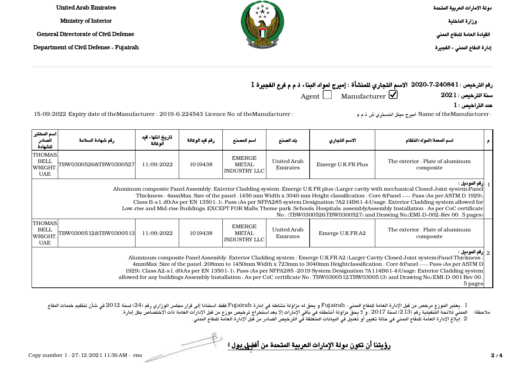| es.        |     | دولة الامارات العربية المتحدة |
|------------|-----|-------------------------------|
|            | $*$ | وزارة الناخلية                |
| Defense    |     | القيادة العامة للنفاع المنني  |
| - Fujairah |     | إدارة النفاع المنني - الفجيرة |
|            |     |                               |

**United Arab Emirate** Ministry of Interior General Directorate of Civil

Department of Civil Defense

رقم الترخيص : 2020-7-240841 الاسم التجاري للمنشأة : إميرج لمواد البناء ذ م م فرع الفجيرة 1

 $\rm Agent$  Manufacturer  $\overline{\bigcup}$  Manufacturer  $\overline{\bigcirc}$  2021 -  $\rm 2021$ 

 $1$ عدد التراخيص  $\,$  :

: Name of theManufacturer : 2019-6-224543 Licence No. of theManufacturer اميرج ميتل اندستري ش ذ م م : theManufacturer الميرج ميتل اندستري ش ذ م م : theManufacturer of theManufacturer : 2019-6-224543 Licence No. of theManu

| اسم المختبر<br>الصادر<br>للشهادة                                                                                                                                                                                                                                                                                                                                                                                                                                                                                                                                                                                                                            | رقم شهادة السلامة                                                                                                                                                                                                                                                                                                                                                                                                                                                                                                                                                                               | تاريخ انتهاء قيد<br>الوكالة | رقم قيد الوكالة | اسم المصنع                                    | يلد الصينع              | الاسم التجاري      | اسم المعدة/المواد/النظام                      |  |  |
|-------------------------------------------------------------------------------------------------------------------------------------------------------------------------------------------------------------------------------------------------------------------------------------------------------------------------------------------------------------------------------------------------------------------------------------------------------------------------------------------------------------------------------------------------------------------------------------------------------------------------------------------------------------|-------------------------------------------------------------------------------------------------------------------------------------------------------------------------------------------------------------------------------------------------------------------------------------------------------------------------------------------------------------------------------------------------------------------------------------------------------------------------------------------------------------------------------------------------------------------------------------------------|-----------------------------|-----------------|-----------------------------------------------|-------------------------|--------------------|-----------------------------------------------|--|--|
| THOMAS<br><b>BELL</b><br>WRIGHT<br><b>UAE</b>                                                                                                                                                                                                                                                                                                                                                                                                                                                                                                                                                                                                               | TBW0300526&TBW0300527                                                                                                                                                                                                                                                                                                                                                                                                                                                                                                                                                                           | 11/09/2022                  | 1019438         | <b>EMERGE</b><br>METAL<br><b>INDUSTRY LLC</b> | United Arab<br>Emirates | Emerge U.K FR Plus | The exterior : Plate of aluminum<br>composite |  |  |
| إرقم الموديل :<br>Aluminum composite Panel Assembly: Exterior Cladding system : Emerge U.K FR plus (Larger cavity with mechanical Closed Joint system)Panel<br>Thickness: 4mmMax.Size of the panel:1450 mm Width x 3040 mm Height classification: Core &Panel ---- Pass (As per ASTM D 1929).<br>Class B-s 1, d0(As per EN 13501-1). Pass (As per NFPA285 system Designation ?A214B61-4)Usage: Exterior Cladding system allowed for<br>Low-rise and Mid-rise Buildings, EXCEPT FOR Malls, Theme park , Schools, Hospitals, assemblyAssembly Installation : As per CoC certificate<br>No: (TBW0300526,TBW0300527) and Drawing No.(EMI-D-002-Rev 00, 5 pages) |                                                                                                                                                                                                                                                                                                                                                                                                                                                                                                                                                                                                 |                             |                 |                                               |                         |                    |                                               |  |  |
| <b>THOMAS</b><br><b>BELL</b><br>WRIGHT<br><b>UAE</b>                                                                                                                                                                                                                                                                                                                                                                                                                                                                                                                                                                                                        | TBW0300512&TBW0300513                                                                                                                                                                                                                                                                                                                                                                                                                                                                                                                                                                           | 11/09/2022                  | 1019438         | <b>EMERGE</b><br>METAL<br>  INDUSTRY LLC      | United Arab<br>Emirates | Emerge U.K FRA2    | The exterior : Plate of aluminum<br>composite |  |  |
|                                                                                                                                                                                                                                                                                                                                                                                                                                                                                                                                                                                                                                                             | : إرقم الموديل $\frac{1}{2}$<br>Aluminum composite Panel Assembly: Exterior Cladding system : Emerge U.K FRA2 (Larger Cavity Closed Joint system)Panel Thickness<br>4mmMax .Size of the panel :208mm to 1450mm Width x 723mm to 3040mm Heightclassification : Core &Panel ---- Pass (As per ASTM D)<br>1929). Class A2-s 1. d0(As per EN 13501-1). Pass (As per NFPA285-2019 System Designation ?A114B61-4)Usage: Exterior Cladding system<br>allowed for any buildings Assembly Installation : As per CoC certificate No : TBW0300512.TBW0300513) and Drawing No.(EMI-D-001 Rev 00,<br>5 pages |                             |                 |                                               |                         |                    |                                               |  |  |

1 . يعتبر الموزع مرخص من قبل الإدارة العامة للدفاع المدني- Fujairah و يحق له مزاولة نشاطه في إمارة Fujairah فقط، استنادا إلى قرار مجلس الوزاري رقم (24) لسنة 2012 في شأن تنظيم خدمات الدفاع المدني للائحة التنفيذية رقم (213) لسنة 2017 ، و لا يحق مزاولة أنشطته في باقي الإمارات إلا بعد استخراج ترخيص موزع من قبل الإدارات العامة ذات الاختصاص بكل إمارة. 2 . إبلاغ الإدارة العامة للدفاع المدني في حالة تغيير أو تعديل في البيانات المتعلقة في الترخيص الصادر من قبل الإدارة العامة للدفاع المدني. ملاحظة:

<u>رؤيتنا أن تكون دولة الإمارات العربية المتحدة من أفضل بول المعتمد المعتمد ال</u>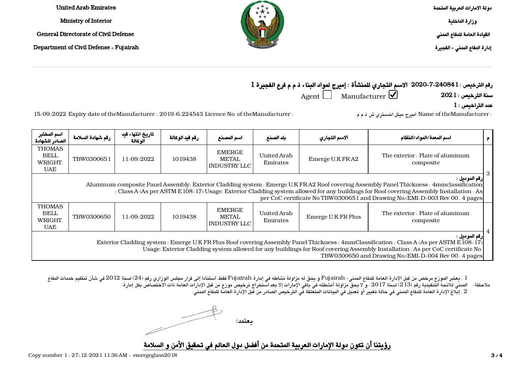دولة الامارات العربية المتحدة وزارة الداخلية القيادة العامة للدفاع المدني





Emirates Arab United Ministry of Interior

General Directorate of Civil Defense

Department of Civil Defense - Fujairah

رقم الترخيص : 2020-7-240841 الاسم التجاري للمنشأة : إميرج لمواد البناء ذ م م فرع الفجيرة 1  $\rm Agent$   $\Box$  Manufacturer  $\Box$  Manufacturer  $\Box$  2021 - سنة الترخيص

 $1$ عدد التراخيص  $\,$  :

: Name of theManufacturer : 2019-6-224543 Licence No. of theManufacturer اميرج ميتل اندستري ش ذ م م : theManufacturer اسرج ميتل اندستري ش ذ م م : theManufacturer اسرج ميتل اندستري ش ذ م م

| اسم المختبر<br>الصادر للشهادة                                                                                                                                                                                                                                                                                                                                                        | رقم شهادة السلامة                                                                                                                                                                                                                                                                                                                                   | تاريخ انتهاء قيد<br>الوكالة | رقم قيد الوكالة | اسم المصنع                                           | بلد الصنع                      | الاسم التجاري      | اسم المعدة/المواد/النظام                      |  |  |  |
|--------------------------------------------------------------------------------------------------------------------------------------------------------------------------------------------------------------------------------------------------------------------------------------------------------------------------------------------------------------------------------------|-----------------------------------------------------------------------------------------------------------------------------------------------------------------------------------------------------------------------------------------------------------------------------------------------------------------------------------------------------|-----------------------------|-----------------|------------------------------------------------------|--------------------------------|--------------------|-----------------------------------------------|--|--|--|
| <b>THOMAS</b><br><b>BELL</b><br>WRIGHT.<br><b>UAE</b>                                                                                                                                                                                                                                                                                                                                | TBW0300651                                                                                                                                                                                                                                                                                                                                          | 11/09/2022                  | 1019438         | <b>EMERGE</b><br><b>METAL</b><br><b>INDUSTRY LLC</b> | <b>United Arab</b><br>Emirates | Emerge U.K FRA2    | The exterior : Plate of aluminum<br>composite |  |  |  |
| رقم الموديل :<br>Aluminum composite Panel Assembly: Exterior Cladding system : Emerge U.K FRA2 Roof covering Assembly Panel Thickness : 4mmclassification<br>: Class A (As per ASTM E 108-17) Usage: Exterior Cladding system allowed for any buildings for Roof covering Assembly Installation : As<br>per CoC certificate No TBW0300651 and Drawing No.(EMI-D-003 Rev 00, 4 pages) |                                                                                                                                                                                                                                                                                                                                                     |                             |                 |                                                      |                                |                    |                                               |  |  |  |
| <b>THOMAS</b><br><b>BELL</b><br>WRIGHT.<br><b>UAE</b>                                                                                                                                                                                                                                                                                                                                | TBW0300650                                                                                                                                                                                                                                                                                                                                          | 11/09/2022                  | 1019438         | <b>EMERGE</b><br><b>METAL</b><br><b>INDUSTRY LLC</b> | United Arab<br>Emirates        | Emerge U.K FR Plus | The exterior : Plate of aluminum<br>composite |  |  |  |
|                                                                                                                                                                                                                                                                                                                                                                                      | رقم الموديل :<br>Exterior Cladding system : Emerge U.K FR Plus Roof covering Assembly Panel Thickness : 4mmClassification : Class A (As per ASTM E 108-17)<br>Usage: Exterior Cladding system allowed for any buildings for Roof covering Assembly Installation : As per CoC certificate No<br>TBW0300650 and Drawing No.(EMI-D-004 Rev 00, 4 pages |                             |                 |                                                      |                                |                    |                                               |  |  |  |

1 . يعتبر الموزع مرخص من قبل الإدارة العامة للدفاع المدني- Fujairah و يحق له مزاولة نشاطه في إمارة Fujairah فقط، استنادا إلى قرار مجلس الوزاري رقم (24) لسنة 2012 في شأن تنظيم خدمات الدفاع المدني للائحة التنفيذية رقم (213) لسنة 2017 ، و لا يحق مزاولة أنشطته في باقي الإمارات إلا بعد استخراج ترخيص موزع من قبل الإدارات العامة ذات الاختصاص بكل إمارة. ملاحظة:

2 . إبلاغ الإدارة العامة للدفاع المدني في حالة تغيير أو تعديل في البيانات المتعلقة في الترخيص الصادر من قبل الإدارة العامة للدفاع المدني.

يعتمد/

رؤيتنا أن تكون دولة الإمارات العربية المتحدة من أفضل دول العالم في تحقيق الأمن و السلامة